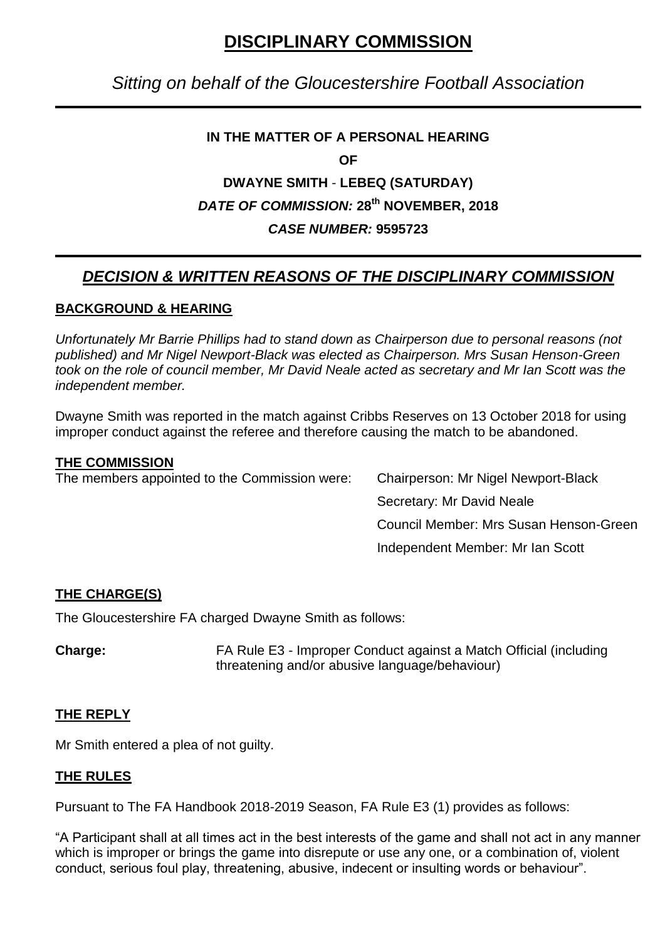# **DISCIPLINARY COMMISSION**

## *Sitting on behalf of the Gloucestershire Football Association*

### **IN THE MATTER OF A PERSONAL HEARING**

**OF**

## **DWAYNE SMITH** - **LEBEQ (SATURDAY)** *DATE OF COMMISSION:* **28th NOVEMBER, 2018** *CASE NUMBER:* **9595723**

# *DECISION & WRITTEN REASONS OF THE DISCIPLINARY COMMISSION*

### **BACKGROUND & HEARING**

*Unfortunately Mr Barrie Phillips had to stand down as Chairperson due to personal reasons (not published) and Mr Nigel Newport-Black was elected as Chairperson. Mrs Susan Henson-Green took on the role of council member, Mr David Neale acted as secretary and Mr Ian Scott was the independent member.*

Dwayne Smith was reported in the match against Cribbs Reserves on 13 October 2018 for using improper conduct against the referee and therefore causing the match to be abandoned.

#### **THE COMMISSION**

The members appointed to the Commission were: Chairperson: Mr Nigel Newport-Black

Secretary: Mr David Neale Council Member: Mrs Susan Henson-Green Independent Member: Mr Ian Scott

## **THE CHARGE(S)**

The Gloucestershire FA charged Dwayne Smith as follows:

**Charge:** FA Rule E3 - Improper Conduct against a Match Official (including threatening and/or abusive language/behaviour)

#### **THE REPLY**

Mr Smith entered a plea of not guilty.

#### **THE RULES**

Pursuant to The FA Handbook 2018-2019 Season, FA Rule E3 (1) provides as follows:

"A Participant shall at all times act in the best interests of the game and shall not act in any manner which is improper or brings the game into disrepute or use any one, or a combination of, violent conduct, serious foul play, threatening, abusive, indecent or insulting words or behaviour".